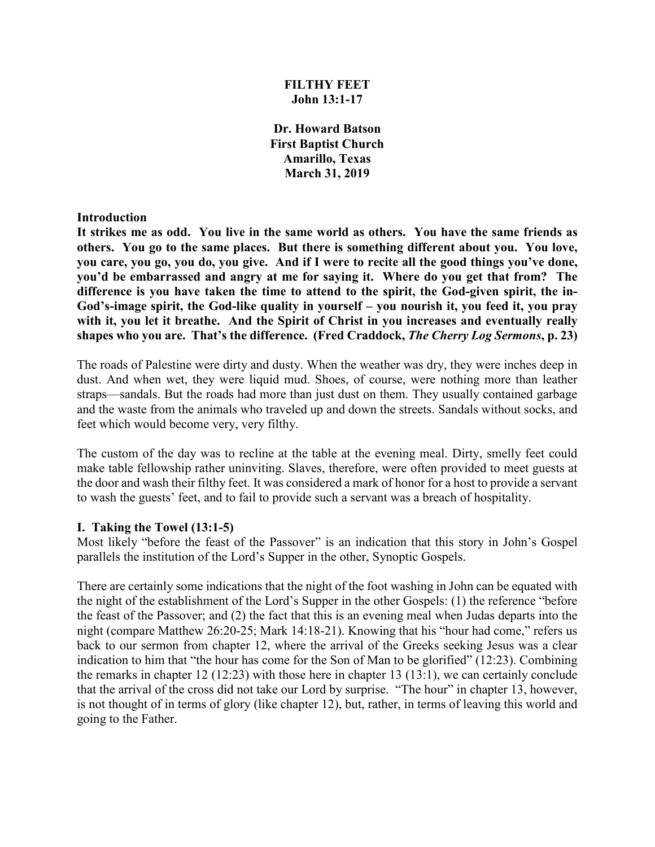## **FILTHY FEET John 13:1-17**

**Dr. Howard Batson First Baptist Church Amarillo, Texas March 31, 2019**

#### **Introduction**

**It strikes me as odd. You live in the same world as others. You have the same friends as others. You go to the same places. But there is something different about you. You love, you care, you go, you do, you give. And if I were to recite all the good things you've done, you'd be embarrassed and angry at me for saying it. Where do you get that from? The**  difference is you have taken the time to attend to the spirit, the God-given spirit, the in-**God's-image spirit, the God-like quality in yourself – you nourish it, you feed it, you pray**  with it, you let it breathe. And the Spirit of Christ in you increases and eventually really **shapes who you are. That's the difference. (Fred Craddock,** *The Cherry Log Sermons***, p. 23)**

The roads of Palestine were dirty and dusty. When the weather was dry, they were inches deep in dust. And when wet, they were liquid mud. Shoes, of course, were nothing more than leather straps—sandals. But the roads had more than just dust on them. They usually contained garbage and the waste from the animals who traveled up and down the streets. Sandals without socks, and feet which would become very, very filthy.

The custom of the day was to recline at the table at the evening meal. Dirty, smelly feet could make table fellowship rather uninviting. Slaves, therefore, were often provided to meet guests at the door and wash their filthy feet. It was considered a mark of honor for a host to provide a servant to wash the guests' feet, and to fail to provide such a servant was a breach of hospitality.

#### **I. Taking the Towel (13:1-5)**

Most likely "before the feast of the Passover" is an indication that this story in John's Gospel parallels the institution of the Lord's Supper in the other, Synoptic Gospels.

There are certainly some indications that the night of the foot washing in John can be equated with the night of the establishment of the Lord's Supper in the other Gospels: (1) the reference "before the feast of the Passover; and (2) the fact that this is an evening meal when Judas departs into the night (compare Matthew 26:20-25; Mark 14:18-21). Knowing that his "hour had come," refers us back to our sermon from chapter 12, where the arrival of the Greeks seeking Jesus was a clear indication to him that "the hour has come for the Son of Man to be glorified" (12:23). Combining the remarks in chapter 12 (12:23) with those here in chapter 13 (13:1), we can certainly conclude that the arrival of the cross did not take our Lord by surprise. "The hour" in chapter 13, however, is not thought of in terms of glory (like chapter 12), but, rather, in terms of leaving this world and going to the Father.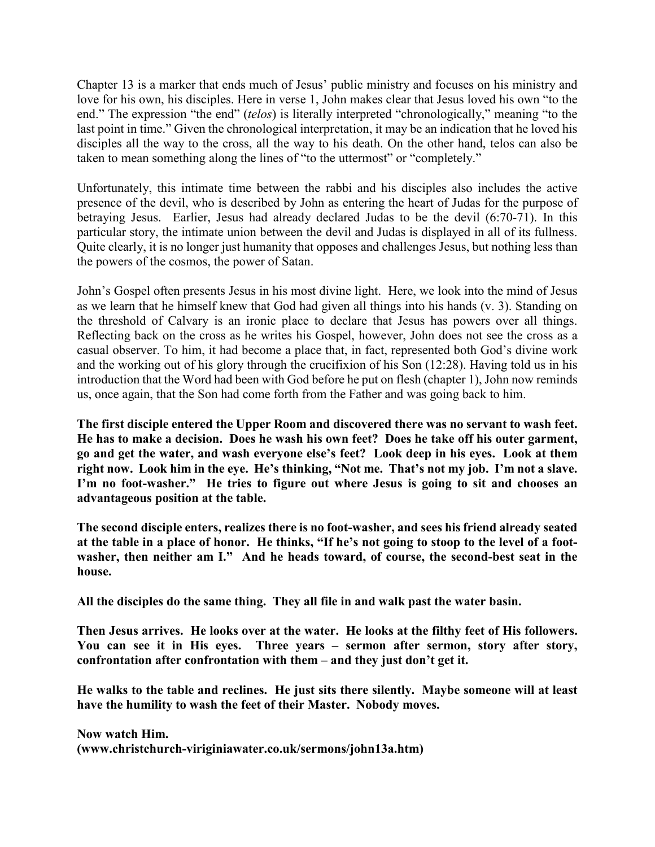Chapter 13 is a marker that ends much of Jesus' public ministry and focuses on his ministry and love for his own, his disciples. Here in verse 1, John makes clear that Jesus loved his own "to the end." The expression "the end" (*telos*) is literally interpreted "chronologically," meaning "to the last point in time." Given the chronological interpretation, it may be an indication that he loved his disciples all the way to the cross, all the way to his death. On the other hand, telos can also be taken to mean something along the lines of "to the uttermost" or "completely."

Unfortunately, this intimate time between the rabbi and his disciples also includes the active presence of the devil, who is described by John as entering the heart of Judas for the purpose of betraying Jesus. Earlier, Jesus had already declared Judas to be the devil (6:70-71). In this particular story, the intimate union between the devil and Judas is displayed in all of its fullness. Quite clearly, it is no longer just humanity that opposes and challenges Jesus, but nothing less than the powers of the cosmos, the power of Satan.

John's Gospel often presents Jesus in his most divine light. Here, we look into the mind of Jesus as we learn that he himself knew that God had given all things into his hands (v. 3). Standing on the threshold of Calvary is an ironic place to declare that Jesus has powers over all things. Reflecting back on the cross as he writes his Gospel, however, John does not see the cross as a casual observer. To him, it had become a place that, in fact, represented both God's divine work and the working out of his glory through the crucifixion of his Son (12:28). Having told us in his introduction that the Word had been with God before he put on flesh (chapter 1), John now reminds us, once again, that the Son had come forth from the Father and was going back to him.

**The first disciple entered the Upper Room and discovered there was no servant to wash feet. He has to make a decision. Does he wash his own feet? Does he take off his outer garment, go and get the water, and wash everyone else's feet? Look deep in his eyes. Look at them right now. Look him in the eye. He's thinking, "Not me. That's not my job. I'm not a slave. I'm no foot-washer." He tries to figure out where Jesus is going to sit and chooses an advantageous position at the table.**

**The second disciple enters, realizes there is no foot-washer, and sees his friend already seated at the table in a place of honor. He thinks, "If he's not going to stoop to the level of a footwasher, then neither am I." And he heads toward, of course, the second-best seat in the house.**

**All the disciples do the same thing. They all file in and walk past the water basin.**

**Then Jesus arrives. He looks over at the water. He looks at the filthy feet of His followers. You can see it in His eyes. Three years – sermon after sermon, story after story, confrontation after confrontation with them – and they just don't get it.**

**He walks to the table and reclines. He just sits there silently. Maybe someone will at least have the humility to wash the feet of their Master. Nobody moves.**

**Now watch Him. (www.christchurch-viriginiawater.co.uk/sermons/john13a.htm)**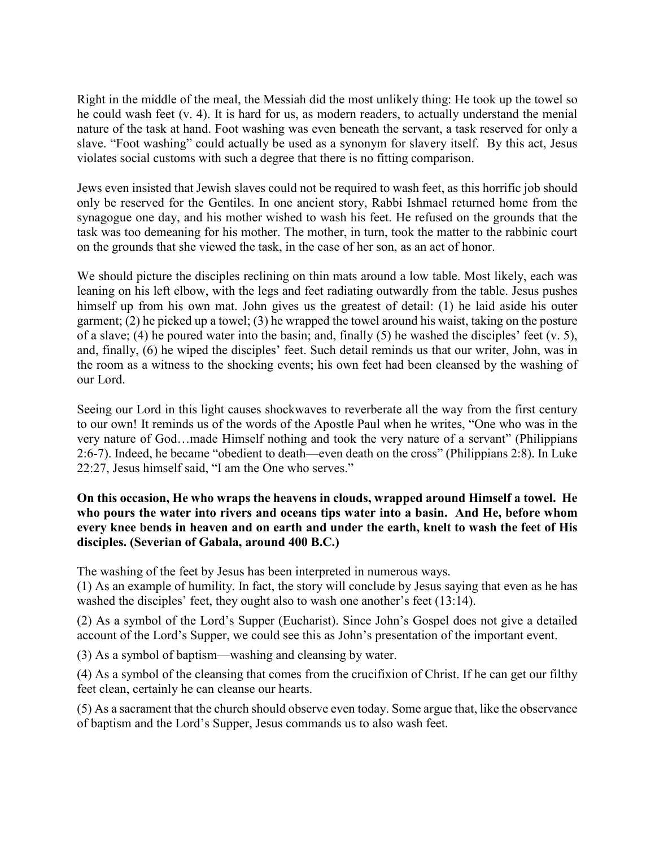Right in the middle of the meal, the Messiah did the most unlikely thing: He took up the towel so he could wash feet (v. 4). It is hard for us, as modern readers, to actually understand the menial nature of the task at hand. Foot washing was even beneath the servant, a task reserved for only a slave. "Foot washing" could actually be used as a synonym for slavery itself. By this act, Jesus violates social customs with such a degree that there is no fitting comparison.

Jews even insisted that Jewish slaves could not be required to wash feet, as this horrific job should only be reserved for the Gentiles. In one ancient story, Rabbi Ishmael returned home from the synagogue one day, and his mother wished to wash his feet. He refused on the grounds that the task was too demeaning for his mother. The mother, in turn, took the matter to the rabbinic court on the grounds that she viewed the task, in the case of her son, as an act of honor.

We should picture the disciples reclining on thin mats around a low table. Most likely, each was leaning on his left elbow, with the legs and feet radiating outwardly from the table. Jesus pushes himself up from his own mat. John gives us the greatest of detail: (1) he laid aside his outer garment; (2) he picked up a towel; (3) he wrapped the towel around his waist, taking on the posture of a slave; (4) he poured water into the basin; and, finally (5) he washed the disciples' feet (v. 5), and, finally, (6) he wiped the disciples' feet. Such detail reminds us that our writer, John, was in the room as a witness to the shocking events; his own feet had been cleansed by the washing of our Lord.

Seeing our Lord in this light causes shockwaves to reverberate all the way from the first century to our own! It reminds us of the words of the Apostle Paul when he writes, "One who was in the very nature of God…made Himself nothing and took the very nature of a servant" (Philippians 2:6-7). Indeed, he became "obedient to death—even death on the cross" (Philippians 2:8). In Luke 22:27, Jesus himself said, "I am the One who serves."

# **On this occasion, He who wraps the heavens in clouds, wrapped around Himself a towel. He who pours the water into rivers and oceans tips water into a basin. And He, before whom every knee bends in heaven and on earth and under the earth, knelt to wash the feet of His disciples. (Severian of Gabala, around 400 B.C.)**

The washing of the feet by Jesus has been interpreted in numerous ways.

(1) As an example of humility. In fact, the story will conclude by Jesus saying that even as he has washed the disciples' feet, they ought also to wash one another's feet (13:14).

(2) As a symbol of the Lord's Supper (Eucharist). Since John's Gospel does not give a detailed account of the Lord's Supper, we could see this as John's presentation of the important event.

(3) As a symbol of baptism—washing and cleansing by water.

(4) As a symbol of the cleansing that comes from the crucifixion of Christ. If he can get our filthy feet clean, certainly he can cleanse our hearts.

(5) As a sacrament that the church should observe even today. Some argue that, like the observance of baptism and the Lord's Supper, Jesus commands us to also wash feet.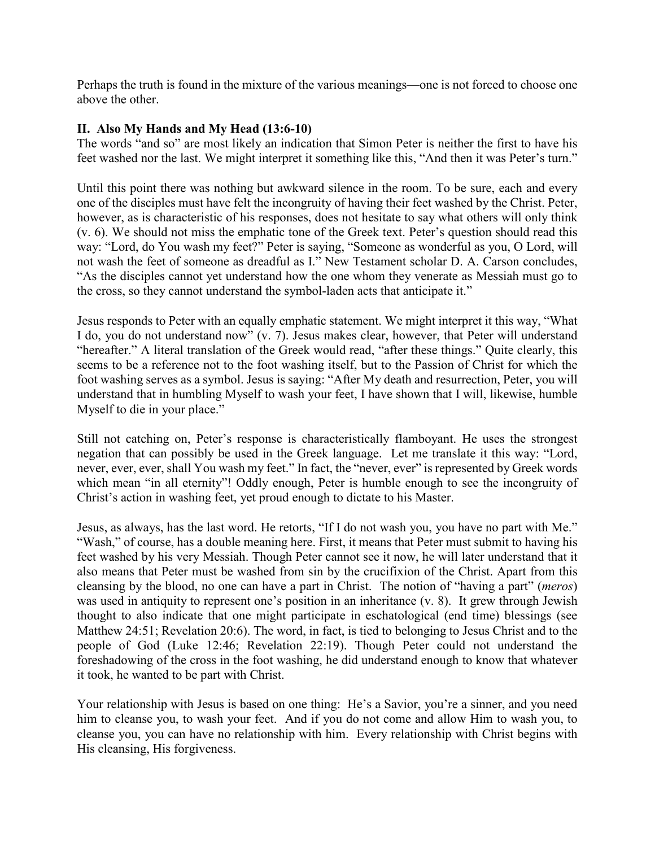Perhaps the truth is found in the mixture of the various meanings—one is not forced to choose one above the other.

## **II. Also My Hands and My Head (13:6-10)**

The words "and so" are most likely an indication that Simon Peter is neither the first to have his feet washed nor the last. We might interpret it something like this, "And then it was Peter's turn."

Until this point there was nothing but awkward silence in the room. To be sure, each and every one of the disciples must have felt the incongruity of having their feet washed by the Christ. Peter, however, as is characteristic of his responses, does not hesitate to say what others will only think (v. 6). We should not miss the emphatic tone of the Greek text. Peter's question should read this way: "Lord, do You wash my feet?" Peter is saying, "Someone as wonderful as you, O Lord, will not wash the feet of someone as dreadful as I." New Testament scholar D. A. Carson concludes, "As the disciples cannot yet understand how the one whom they venerate as Messiah must go to the cross, so they cannot understand the symbol-laden acts that anticipate it."

Jesus responds to Peter with an equally emphatic statement. We might interpret it this way, "What I do, you do not understand now" (v. 7). Jesus makes clear, however, that Peter will understand "hereafter." A literal translation of the Greek would read, "after these things." Quite clearly, this seems to be a reference not to the foot washing itself, but to the Passion of Christ for which the foot washing serves as a symbol. Jesus is saying: "After My death and resurrection, Peter, you will understand that in humbling Myself to wash your feet, I have shown that I will, likewise, humble Myself to die in your place."

Still not catching on, Peter's response is characteristically flamboyant. He uses the strongest negation that can possibly be used in the Greek language. Let me translate it this way: "Lord, never, ever, ever, shall You wash my feet." In fact, the "never, ever" is represented by Greek words which mean "in all eternity"! Oddly enough, Peter is humble enough to see the incongruity of Christ's action in washing feet, yet proud enough to dictate to his Master.

Jesus, as always, has the last word. He retorts, "If I do not wash you, you have no part with Me." "Wash," of course, has a double meaning here. First, it means that Peter must submit to having his feet washed by his very Messiah. Though Peter cannot see it now, he will later understand that it also means that Peter must be washed from sin by the crucifixion of the Christ. Apart from this cleansing by the blood, no one can have a part in Christ. The notion of "having a part" (*meros*) was used in antiquity to represent one's position in an inheritance (v. 8). It grew through Jewish thought to also indicate that one might participate in eschatological (end time) blessings (see Matthew 24:51; Revelation 20:6). The word, in fact, is tied to belonging to Jesus Christ and to the people of God (Luke 12:46; Revelation 22:19). Though Peter could not understand the foreshadowing of the cross in the foot washing, he did understand enough to know that whatever it took, he wanted to be part with Christ.

Your relationship with Jesus is based on one thing: He's a Savior, you're a sinner, and you need him to cleanse you, to wash your feet. And if you do not come and allow Him to wash you, to cleanse you, you can have no relationship with him. Every relationship with Christ begins with His cleansing, His forgiveness.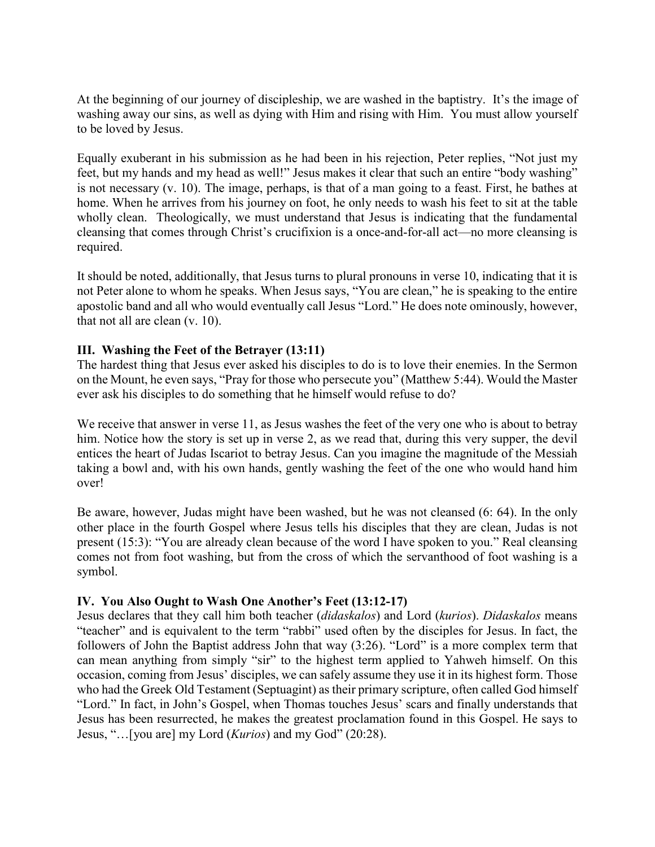At the beginning of our journey of discipleship, we are washed in the baptistry. It's the image of washing away our sins, as well as dying with Him and rising with Him. You must allow yourself to be loved by Jesus.

Equally exuberant in his submission as he had been in his rejection, Peter replies, "Not just my feet, but my hands and my head as well!" Jesus makes it clear that such an entire "body washing" is not necessary (v. 10). The image, perhaps, is that of a man going to a feast. First, he bathes at home. When he arrives from his journey on foot, he only needs to wash his feet to sit at the table wholly clean. Theologically, we must understand that Jesus is indicating that the fundamental cleansing that comes through Christ's crucifixion is a once-and-for-all act—no more cleansing is required.

It should be noted, additionally, that Jesus turns to plural pronouns in verse 10, indicating that it is not Peter alone to whom he speaks. When Jesus says, "You are clean," he is speaking to the entire apostolic band and all who would eventually call Jesus "Lord." He does note ominously, however, that not all are clean (v. 10).

## **III. Washing the Feet of the Betrayer (13:11)**

The hardest thing that Jesus ever asked his disciples to do is to love their enemies. In the Sermon on the Mount, he even says, "Pray for those who persecute you" (Matthew 5:44). Would the Master ever ask his disciples to do something that he himself would refuse to do?

We receive that answer in verse 11, as Jesus washes the feet of the very one who is about to betray him. Notice how the story is set up in verse 2, as we read that, during this very supper, the devil entices the heart of Judas Iscariot to betray Jesus. Can you imagine the magnitude of the Messiah taking a bowl and, with his own hands, gently washing the feet of the one who would hand him over!

Be aware, however, Judas might have been washed, but he was not cleansed (6: 64). In the only other place in the fourth Gospel where Jesus tells his disciples that they are clean, Judas is not present (15:3): "You are already clean because of the word I have spoken to you." Real cleansing comes not from foot washing, but from the cross of which the servanthood of foot washing is a symbol.

## **IV. You Also Ought to Wash One Another's Feet (13:12-17)**

Jesus declares that they call him both teacher (*didaskalos*) and Lord (*kurios*). *Didaskalos* means "teacher" and is equivalent to the term "rabbi" used often by the disciples for Jesus. In fact, the followers of John the Baptist address John that way (3:26). "Lord" is a more complex term that can mean anything from simply "sir" to the highest term applied to Yahweh himself. On this occasion, coming from Jesus' disciples, we can safely assume they use it in its highest form. Those who had the Greek Old Testament (Septuagint) as their primary scripture, often called God himself "Lord." In fact, in John's Gospel, when Thomas touches Jesus' scars and finally understands that Jesus has been resurrected, he makes the greatest proclamation found in this Gospel. He says to Jesus, "…[you are] my Lord (*Kurios*) and my God" (20:28).